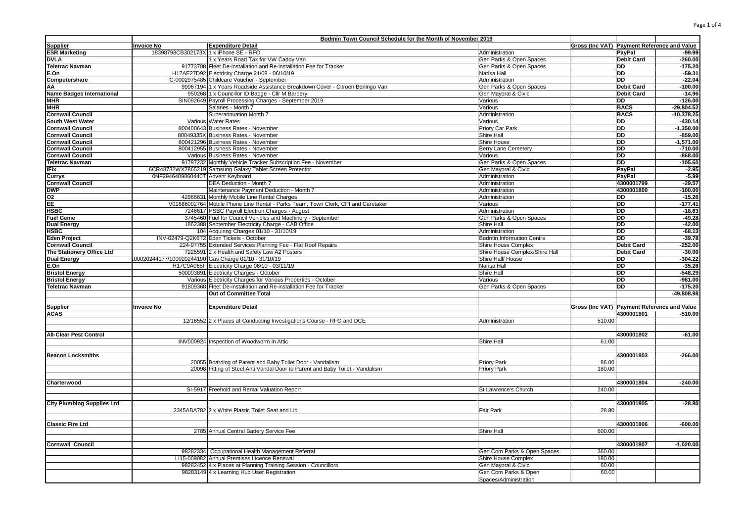|                                                                                           | Bodmin Town Council Schedule for the Month of November 2019 |                                                                                   |                                  |                                             |                   |              |
|-------------------------------------------------------------------------------------------|-------------------------------------------------------------|-----------------------------------------------------------------------------------|----------------------------------|---------------------------------------------|-------------------|--------------|
| <b>Supplier</b>                                                                           | <b>Invoice No</b>                                           | <b>Expenditure Detail</b>                                                         |                                  | Gross (Inc VAT) Payment Reference and Value |                   |              |
| <b>ESR Marketing</b>                                                                      | 18398798CB302173X 1 x iPhone SE - RFO                       |                                                                                   | Administration                   |                                             | <b>PavPal</b>     | $-99.99$     |
| <b>DVLA</b>                                                                               |                                                             | 1 x Years Road Tax for VW Caddy Van                                               | Gen Parks & Open Spaces          |                                             | <b>Debit Card</b> | $-260.00$    |
| <b>Teletrac Navman</b>                                                                    |                                                             | 91773788 Fleet De-installation and Re-installation Fee for Tracker                | Gen Parks & Open Spaces          |                                             | DD.               | $-175.20$    |
| E.On                                                                                      |                                                             | H17AE27D92 Electricity Charge 21/08 - 06/10/19                                    | Narisa Hall                      |                                             | $\overline{DD}$   | $-59.31$     |
| Computershare                                                                             |                                                             | C-0002975485 Childcare Voucher - September                                        | Administration                   |                                             | <b>DD</b>         | $-22.04$     |
| AA                                                                                        |                                                             | 99967194 1 x Years Roadside Assistance Breakdown Cover - Citroen Berlingo Van     | Gen Parks & Open Spaces          |                                             | <b>Debit Card</b> | $-100.00$    |
| <b>Name Badges International</b>                                                          |                                                             | 950268 1 x Councillor ID Badge - Cllr M Barbery                                   | Gen Mayoral & Civic              |                                             | <b>Debit Card</b> | $-14.96$     |
| <b>MHR</b>                                                                                |                                                             | SIN092649 Payroll Processing Charges - September 2019                             | Various                          |                                             | <b>DD</b>         | $-126.00$    |
| <b>MHR</b>                                                                                |                                                             | Salaries - Month 7                                                                | Various                          |                                             | <b>BACS</b>       | $-29,804.52$ |
| <b>Cornwall Council</b>                                                                   |                                                             | Superannuation Month 7                                                            | Administration                   |                                             | <b>BACS</b>       | $-10,378.25$ |
| South West Water                                                                          |                                                             | Various Water Rates                                                               | Various                          |                                             | $\overline{DD}$   | $-430.14$    |
| <b>Cornwall Council</b>                                                                   |                                                             | 800400643 Business Rates - November                                               | Priory Car Park                  |                                             | DD                | $-1,350.00$  |
| <b>Cornwall Council</b>                                                                   |                                                             | 80049335X Business Rates - November                                               | Shire Hall                       |                                             | <b>DD</b>         | $-859.00$    |
| <b>Cornwall Council</b>                                                                   |                                                             | 800421296 Business Rates - November                                               | Shire House                      |                                             | <b>DD</b>         | $-1.571.00$  |
| <b>Cornwall Council</b>                                                                   |                                                             | 800412955 Business Rates - November                                               | <b>Berry Lane Cemetery</b>       |                                             | $\overline{DD}$   | $-710.00$    |
| <b>Cornwall Council</b>                                                                   |                                                             |                                                                                   |                                  |                                             | $\overline{DD}$   | $-868.00$    |
|                                                                                           |                                                             | Various Business Rates - November                                                 | Various                          |                                             |                   |              |
| <b>Teletrac Navman</b>                                                                    |                                                             | 91797232 Monthly Vehicle Tracker Subscription Fee - November                      | Gen Parks & Open Spaces          |                                             | $\overline{DD}$   | $-105.60$    |
| iFix                                                                                      |                                                             | 6CR48732WX7865219 Samsung Galaxy Tablet Screen Protector                          | Gen Mayoral & Civic              |                                             | PayPal            | $-2.95$      |
| <b>Currys</b>                                                                             | 0NF2946409860440T Advent Keyboard                           |                                                                                   | Administration                   |                                             | PayPal            | $-5.99$      |
| <b>Cornwall Council</b>                                                                   |                                                             | DEA Deduction - Month 7                                                           | Administration                   |                                             | 4300001799        | $-29.57$     |
| <b>DWP</b>                                                                                |                                                             | Maintenance Payment Deduction - Month 7                                           | Administration                   |                                             | 4300001800        | $-100.00$    |
| $\frac{102}{102}$ $\frac{102}{100}$ $\frac{102}{100}$ $\frac{102}{100}$ $\frac{102}{100}$ |                                                             | 42966631 Monthly Mobile Line Rental Charges                                       | Administration                   |                                             | DD.               | $-15.26$     |
|                                                                                           |                                                             | V01686002764 Mobile Phone Line Rental - Parks Team, Town Clerk, CPI and Caretaker | Various                          |                                             | DD                | $-177.41$    |
|                                                                                           |                                                             | 7246617 HSBC Payroll Electron Charges - August                                    | Administration                   |                                             | <b>DD</b>         | $-18.63$     |
| <b>Fuel Genie</b>                                                                         |                                                             | 3745460 Fuel for Council Vehicles and Machinery - September                       | Gen Parks & Open Spaces          |                                             | DD                | $-49.28$     |
| <b>Dual Energy</b>                                                                        |                                                             | 1862388 September Electricity Charge - CAB Office                                 | Shire Hall                       |                                             | DD                | $-42.00$     |
| <b>HSBC</b>                                                                               |                                                             | 104 Acquiring Charges 01/10 - 31/10/19                                            | Administration                   |                                             | <b>DD</b>         | $-68.13$     |
| <b>Eden Project</b>                                                                       |                                                             | INV-02479-Q2K6T2 Eden Tickets - October                                           | <b>Bodmin Information Centre</b> |                                             | $\overline{DD}$   | $-39.78$     |
| <b>Cornwall Council</b>                                                                   |                                                             | 224-97755 Extended Services Planning Fee - Flat Roof Repairs                      | Shire House Complex              |                                             | <b>Debit Card</b> | $-252.00$    |
| The Stationery Office Ltd                                                                 |                                                             | 7225591 2 x Health and Safety Law A2 Posters                                      | Shire House Complex/Shire Hall   |                                             | <b>Debit Card</b> | $-30.00$     |
| <b>Dual Energy</b>                                                                        |                                                             | 00020244177/100020244190 Gas Charge 01/10 - 31/10/19                              | Shire Hall/ House                |                                             | <b>DD</b>         | $-304.22$    |
| E.On                                                                                      |                                                             | H17C9A065F Electricity Charge 06/10 - 03/11/19                                    | Narisa Hall                      |                                             | <b>DD</b>         | $-35.26$     |
| <b>Bristol Energy</b>                                                                     |                                                             | 500093891 Electricity Charges - October                                           | Shire Hall                       |                                             | DD                | $-548.29$    |
| <b>Bristol Energy</b>                                                                     |                                                             | Various Electricity Charges for Various Properties - October                      | Various                          |                                             | <b>DD</b>         | $-981.00$    |
| <b>Teletrac Navman</b>                                                                    |                                                             | 91809368 Fleet De-installation and Re-installation Fee for Tracker                | Gen Parks & Open Spaces          |                                             | <b>DD</b>         | $-175.20$    |
|                                                                                           |                                                             | Out of Committee Total                                                            |                                  |                                             |                   | $-49,808.98$ |
|                                                                                           |                                                             |                                                                                   |                                  |                                             |                   |              |
|                                                                                           | <b>Invoice No</b>                                           | <b>Expenditure Detail</b>                                                         |                                  | Gross (Inc VAT) Payment Reference and Value |                   |              |
| <b>Supplier</b><br><b>ACAS</b>                                                            |                                                             |                                                                                   |                                  |                                             | 4300001801        | $-510.00$    |
|                                                                                           |                                                             |                                                                                   |                                  | 510.00                                      |                   |              |
|                                                                                           |                                                             | 12/16552 2 x Places at Conducting Investigations Course - RFO and DCE             | Administration                   |                                             |                   |              |
|                                                                                           |                                                             |                                                                                   |                                  |                                             |                   |              |
| <b>All-Clear Pest Control</b>                                                             |                                                             |                                                                                   |                                  |                                             | 4300001802        | $-61.00$     |
|                                                                                           |                                                             | INV000924 Inspection of Woodworm in Attic                                         | Shire Hall                       | 61.00                                       |                   |              |
|                                                                                           |                                                             |                                                                                   |                                  |                                             |                   |              |
| <b>Beacon Locksmiths</b>                                                                  |                                                             |                                                                                   |                                  |                                             | 4300001803        | $-266.00$    |
|                                                                                           |                                                             | 20055 Boarding of Parent and Baby Toilet Door - Vandalism                         | <b>Priory Park</b>               | 86.00                                       |                   |              |
|                                                                                           |                                                             | 20098 Fitting of Steel Anti Vandal Door to Parent and Baby Toilet - Vandalism     | Priory Park                      | 180.00                                      |                   |              |
|                                                                                           |                                                             |                                                                                   |                                  |                                             |                   |              |
| Charterwood                                                                               |                                                             |                                                                                   |                                  |                                             | 4300001804        | $-240.00$    |
|                                                                                           |                                                             | SI-5917 Freehold and Rental Valuation Report                                      | St Lawrence's Church             | 240.00                                      |                   |              |
|                                                                                           |                                                             |                                                                                   |                                  |                                             |                   |              |
| <b>City Plumbing Supplies Ltd</b>                                                         |                                                             |                                                                                   |                                  |                                             | 4300001805        | $-28.80$     |
|                                                                                           |                                                             | 2345ABA782 2 x White Plastic Toilet Seat and Lid                                  | Fair Park                        | 28.80                                       |                   |              |
|                                                                                           |                                                             |                                                                                   |                                  |                                             |                   |              |
| <b>Classic Fire Ltd</b>                                                                   |                                                             |                                                                                   |                                  |                                             | 4300001806        | $-600.00$    |
|                                                                                           |                                                             | 2785 Annual Central Battery Service Fee                                           | Shire Hall                       | 600.00                                      |                   |              |
|                                                                                           |                                                             |                                                                                   |                                  |                                             |                   |              |
| <b>Cornwall Council</b>                                                                   |                                                             |                                                                                   |                                  |                                             | 4300001807        | $-1,020.00$  |
|                                                                                           |                                                             | 98282334 Occupational Health Management Referral                                  | Gen Com Parks & Open Spaces      | 360.00                                      |                   |              |
|                                                                                           |                                                             | LI15-009082 Annual Premises Licence Renewal                                       | Shire House Complex              | 180.00                                      |                   |              |
|                                                                                           |                                                             |                                                                                   |                                  | 60.00                                       |                   |              |
|                                                                                           |                                                             | 98282452 4 x Places at Planning Training Session - Councillors                    | Gen Mayoral & Civic              |                                             |                   |              |
|                                                                                           |                                                             | 98283149 4 x Learning Hub User Registration                                       | Gen Com Parks & Open             | 60.00                                       |                   |              |
|                                                                                           |                                                             |                                                                                   | Spaces/Administration            |                                             |                   |              |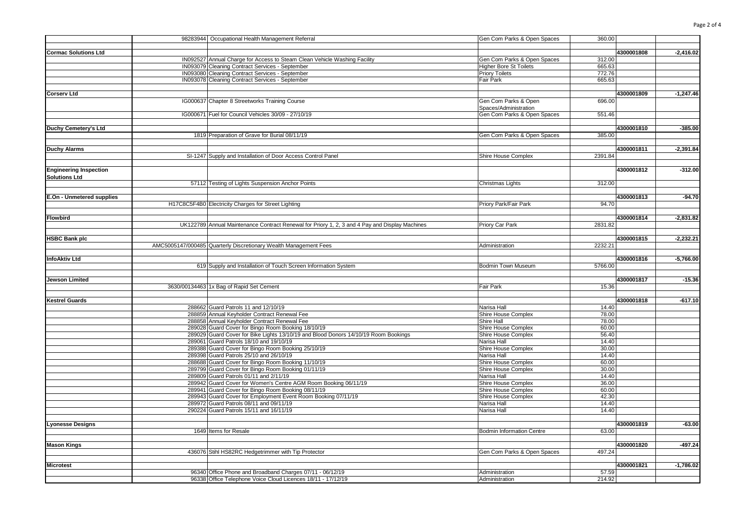|                               | 98283944 Occupational Health Management Referral                                               | Gen Com Parks & Open Spaces      | 360.00  |            |             |
|-------------------------------|------------------------------------------------------------------------------------------------|----------------------------------|---------|------------|-------------|
|                               |                                                                                                |                                  |         |            |             |
| <b>Cormac Solutions Ltd</b>   |                                                                                                |                                  |         | 4300001808 | $-2,416.02$ |
|                               | IN092527 Annual Charge for Access to Steam Clean Vehicle Washing Facility                      | Gen Com Parks & Open Spaces      | 312.00  |            |             |
|                               | IN093079 Cleaning Contract Services - September                                                | <b>Higher Bore St Toilets</b>    | 665.63  |            |             |
|                               | IN093080 Cleaning Contract Services - September                                                | <b>Priory Toilets</b>            | 772.76  |            |             |
|                               | IN093078 Cleaning Contract Services - September                                                | Fair Park                        | 665.63  |            |             |
|                               |                                                                                                |                                  |         |            |             |
| <b>Corserv Ltd</b>            |                                                                                                |                                  |         | 4300001809 | $-1,247.46$ |
|                               | IG000637 Chapter 8 Streetworks Training Course                                                 | Gen Com Parks & Open             | 696.00  |            |             |
|                               |                                                                                                | Spaces/Administration            |         |            |             |
|                               | IG000671 Fuel for Council Vehicles 30/09 - 27/10/19                                            | Gen Com Parks & Open Spaces      | 551.46  |            |             |
|                               |                                                                                                |                                  |         |            |             |
| Duchy Cemetery's Ltd          |                                                                                                |                                  |         | 4300001810 | $-385.00$   |
|                               | 1819 Preparation of Grave for Burial 08/11/19                                                  | Gen Com Parks & Open Spaces      | 385.00  |            |             |
|                               |                                                                                                |                                  |         |            |             |
|                               |                                                                                                |                                  |         |            |             |
| <b>Duchy Alarms</b>           |                                                                                                |                                  |         | 4300001811 | $-2,391.84$ |
|                               | SI-1247 Supply and Installation of Door Access Control Panel                                   | Shire House Complex              | 2391.84 |            |             |
|                               |                                                                                                |                                  |         |            |             |
| <b>Engineering Inspection</b> |                                                                                                |                                  |         | 4300001812 | $-312.00$   |
| <b>Solutions Ltd</b>          |                                                                                                |                                  |         |            |             |
|                               | 57112 Testing of Lights Suspension Anchor Points                                               | Christmas Lights                 | 312.00  |            |             |
|                               |                                                                                                |                                  |         |            |             |
| E.On - Unmetered supplies     |                                                                                                |                                  |         | 4300001813 | $-94.70$    |
|                               | H17C8C5F4B0 Electricity Charges for Street Lighting                                            | Priory Park/Fair Park            | 94.70   |            |             |
|                               |                                                                                                |                                  |         |            |             |
| <b>Flowbird</b>               |                                                                                                |                                  |         | 4300001814 | $-2,831.82$ |
|                               | UK122789 Annual Maintenance Contract Renewal for Priory 1, 2, 3 and 4 Pay and Display Machines | Priory Car Park                  | 2831.82 |            |             |
|                               |                                                                                                |                                  |         |            |             |
| <b>HSBC Bank plc</b>          |                                                                                                |                                  |         | 4300001815 | $-2,232.21$ |
|                               | AMC5005147/000485 Quarterly Discretionary Wealth Management Fees                               | Administration                   | 2232.21 |            |             |
|                               |                                                                                                |                                  |         |            |             |
| <b>InfoAktiv Ltd</b>          |                                                                                                |                                  |         | 4300001816 | $-5,766.00$ |
|                               | 619 Supply and Installation of Touch Screen Information System                                 | <b>Bodmin Town Museum</b>        | 5766.00 |            |             |
|                               |                                                                                                |                                  |         |            |             |
| Jewson Limited                |                                                                                                |                                  |         | 4300001817 | $-15.36$    |
|                               | 3630/00134463 1x Bag of Rapid Set Cement                                                       | Fair Park                        | 15.36   |            |             |
|                               |                                                                                                |                                  |         |            |             |
| <b>Kestrel Guards</b>         |                                                                                                |                                  |         | 4300001818 | $-617.10$   |
|                               | 288662 Guard Patrols 11 and 12/10/19                                                           | Narisa Hall                      | 14.40   |            |             |
|                               | 288859 Annual Keyholder Contract Renewal Fee                                                   |                                  | 78.00   |            |             |
|                               |                                                                                                | Shire House Complex              | 78.00   |            |             |
|                               | 288858 Annual Keyholder Contract Renewal Fee                                                   | Shire Hall                       |         |            |             |
|                               | 289028 Guard Cover for Bingo Room Booking 18/10/19                                             | Shire House Complex              | 60.00   |            |             |
|                               | 289029 Guard Cover for Bike Lights 13/10/19 and Blood Donors 14/10/19 Room Bookings            | Shire House Complex              | 56.40   |            |             |
|                               | 289061 Guard Patrols 18/10 and 19/10/19                                                        | Narisa Hall                      | 14.40   |            |             |
|                               | 289388 Guard Cover for Bingo Room Booking 25/10/19                                             | Shire House Complex              | 30.00   |            |             |
|                               | 289398 Guard Patrols 25/10 and 26/10/19                                                        | Narisa Hall                      | 14.40   |            |             |
|                               | 288688 Guard Cover for Bingo Room Booking 11/10/19                                             | Shire House Complex              | 60.00   |            |             |
|                               | 289799 Guard Cover for Bingo Room Booking 01/11/19                                             | Shire House Complex              | 30.00   |            |             |
|                               | 289809 Guard Patrols 01/11 and 2/11/19                                                         | Narisa Hall                      | 14.40   |            |             |
|                               | 289942 Guard Cover for Women's Centre AGM Room Booking 06/11/19                                | Shire House Complex              | 36.00   |            |             |
|                               | 289941 Guard Cover for Bingo Room Booking 08/11/19                                             | Shire House Complex              | 60.00   |            |             |
|                               | 289943 Guard Cover for Employment Event Room Booking 07/11/19                                  | Shire House Complex              | 42.30   |            |             |
|                               | 289972 Guard Patrols 08/11 and 09/11/19                                                        | Narisa Hall                      | 14.40   |            |             |
|                               | 290224 Guard Patrols 15/11 and 16/11/19                                                        | Narisa Hall                      | 14.40   |            |             |
|                               |                                                                                                |                                  |         |            |             |
| Lyonesse Designs              |                                                                                                |                                  |         | 4300001819 | $-63.00$    |
|                               | 1649 Items for Resale                                                                          | <b>Bodmin Information Centre</b> | 63.00   |            |             |
|                               |                                                                                                |                                  |         |            |             |
| <b>Mason Kings</b>            |                                                                                                |                                  |         | 4300001820 | $-497.24$   |
|                               | 436076 Stihl HS82RC Hedgetrimmer with Tip Protector                                            | Gen Com Parks & Open Spaces      | 497.24  |            |             |
|                               |                                                                                                |                                  |         |            |             |
| <b>Microtest</b>              |                                                                                                |                                  |         | 4300001821 | $-1,786.02$ |
|                               | 96340 Office Phone and Broadband Charges 07/11 - 06/12/19                                      | Administration                   | 57.59   |            |             |
|                               | 96338 Office Telephone Voice Cloud Licences 18/11 - 17/12/19                                   | Administration                   | 214.92  |            |             |
|                               |                                                                                                |                                  |         |            |             |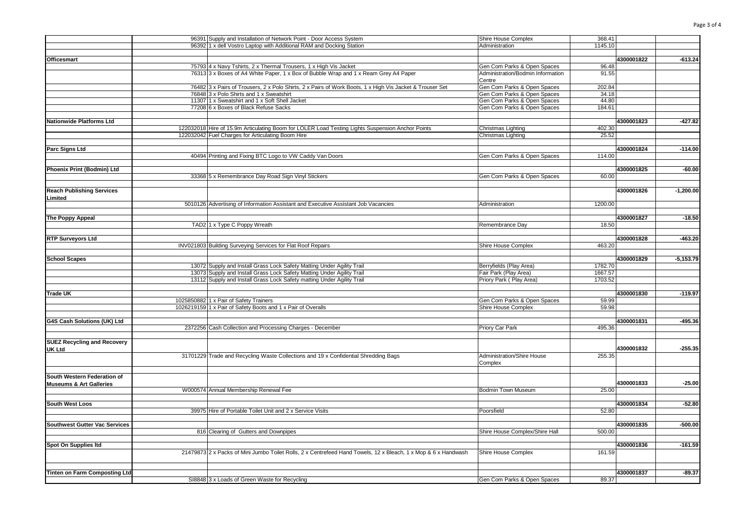|                                             | 96391 Supply and Installation of Network Point - Door Access System                                            | Shire House Complex                         | 368.41  |            |             |
|---------------------------------------------|----------------------------------------------------------------------------------------------------------------|---------------------------------------------|---------|------------|-------------|
|                                             | 96392 1 x dell Vostro Laptop with Additional RAM and Docking Station                                           | Administration                              | 1145.10 |            |             |
|                                             |                                                                                                                |                                             |         |            |             |
| <b>Officesmart</b>                          |                                                                                                                |                                             |         | 4300001822 | $-613.24$   |
|                                             | 75793 4 x Navy Tshirts, 2 x Thermal Trousers, 1 x High Vis Jacket                                              | Gen Com Parks & Open Spaces                 | 96.48   |            |             |
|                                             | 76313 3 x Boxes of A4 White Paper, 1 x Box of Bubble Wrap and 1 x Ream Grey A4 Paper                           | Administration/Bodmin Information<br>Centre | 91.55   |            |             |
|                                             | 76482 3 x Pairs of Trousers, 2 x Polo Shirts, 2 x Pairs of Work Boots, 1 x High Vis Jacket & Trouser Set       | Gen Com Parks & Open Spaces                 | 202.84  |            |             |
|                                             | 76848 3 x Polo Shirts and 1 x Sweatshirt                                                                       | Gen Com Parks & Open Spaces                 | 34.18   |            |             |
|                                             | 11307 1 x Sweatshirt and 1 x Soft Shell Jacket                                                                 | Gen Com Parks & Open Spaces                 | 44.80   |            |             |
|                                             | 77208 6 x Boxes of Black Refuse Sacks                                                                          | Gen Com Parks & Open Spaces                 | 184.61  |            |             |
| Nationwide Platforms Ltd                    |                                                                                                                |                                             |         | 4300001823 | $-427.82$   |
|                                             | 122032018 Hire of 15.9m Articulating Boom for LOLER Load Testing Lights Suspension Anchor Points               | Christmas Lighting                          | 402.30  |            |             |
|                                             | 122032042 Fuel Charges for Articulating Boom Hire                                                              | Christmas Lighting                          | 25.52   |            |             |
| Parc Signs Ltd                              |                                                                                                                |                                             |         | 4300001824 | $-114.00$   |
|                                             | 40494 Printing and Fixing BTC Logo to VW Caddy Van Doors                                                       | Gen Com Parks & Open Spaces                 | 114.00  |            |             |
| Phoenix Print (Bodmin) Ltd                  |                                                                                                                |                                             |         | 4300001825 | $-60.00$    |
|                                             | 33368 5 x Remembrance Day Road Sign Vinyl Stickers                                                             | Gen Com Parks & Open Spaces                 | 60.00   |            |             |
|                                             |                                                                                                                |                                             |         |            |             |
| <b>Reach Publishing Services</b><br>Limited |                                                                                                                |                                             |         | 4300001826 | $-1,200.00$ |
|                                             | 5010126 Advertising of Information Assistant and Executive Assistant Job Vacancies                             | Administration                              | 1200.00 |            |             |
| The Poppy Appeal                            |                                                                                                                |                                             |         | 4300001827 | $-18.50$    |
|                                             | TAD2 1 x Type C Poppy Wreath                                                                                   | Remembrance Day                             | 18.50   |            |             |
|                                             |                                                                                                                |                                             |         |            |             |
| <b>RTP Surveyors Ltd</b>                    |                                                                                                                |                                             |         | 4300001828 | $-463.20$   |
|                                             | INV021803 Building Surveying Services for Flat Roof Repairs                                                    | Shire House Complex                         | 463.20  |            |             |
|                                             |                                                                                                                |                                             |         |            |             |
| <b>School Scapes</b>                        |                                                                                                                |                                             |         | 4300001829 | $-5,153.79$ |
|                                             | 13072 Supply and Install Grass Lock Safety Matting Under Agility Trail                                         | Berryfields (Play Area)                     | 1782.70 |            |             |
|                                             | 13073 Supply and Install Grass Lock Safety Matting Under Agility Trail                                         | Fair Park (Play Area)                       | 1667.57 |            |             |
|                                             | 13112 Supply and Install Grass Lock Safety matting Under Agility Trail                                         | Priory Park (Play Area)                     | 1703.52 |            |             |
| <b>Trade UK</b>                             |                                                                                                                |                                             |         | 4300001830 | $-119.97$   |
|                                             | 1025850882 1 x Pair of Safety Trainers                                                                         | Gen Com Parks & Open Spaces                 | 59.99   |            |             |
|                                             | 1026219159 1 x Pair of Safety Boots and 1 x Pair of Overalls                                                   | Shire House Complex                         | 59.98   |            |             |
|                                             |                                                                                                                |                                             |         |            |             |
| G4S Cash Solutions (UK) Ltd                 |                                                                                                                |                                             |         | 4300001831 | $-495.36$   |
|                                             | 2372256 Cash Collection and Processing Charges - December                                                      | Priory Car Park                             | 495.36  |            |             |
| <b>SUEZ Recycling and Recovery</b>          |                                                                                                                |                                             |         | 4300001832 |             |
| <b>UK Ltd</b>                               | 31701229 Trade and Recycling Waste Collections and 19 x Confidential Shredding Bags                            | Administration/Shire House                  | 255.35  |            | $-255.35$   |
|                                             |                                                                                                                | Complex                                     |         |            |             |
| South Western Federation of                 |                                                                                                                |                                             |         |            |             |
| <b>Museums &amp; Art Galleries</b>          |                                                                                                                |                                             |         | 4300001833 | $-25.00$    |
|                                             | W000574 Annual Membership Renewal Fee                                                                          | Bodmin Town Museum                          | 25.00   |            |             |
| South West Loos                             |                                                                                                                |                                             |         | 4300001834 | $-52.80$    |
|                                             | 39975 Hire of Portable Toilet Unit and 2 x Service Visits                                                      | Poorsfield                                  | 52.80   |            |             |
|                                             |                                                                                                                |                                             |         |            |             |
| <b>Southwest Gutter Vac Services</b>        | 816 Clearing of Gutters and Downpipes                                                                          | Shire House Complex/Shire Hall              | 500.00  | 4300001835 | $-500.00$   |
|                                             |                                                                                                                |                                             |         |            |             |
| Spot On Supplies Itd                        |                                                                                                                |                                             |         | 4300001836 | $-161.59$   |
|                                             | 21479873 2 x Packs of Mini Jumbo Toilet Rolls, 2 x Centrefeed Hand Towels, 12 x Bleach, 1 x Mop & 6 x Handwash | Shire House Complex                         | 161.59  |            |             |
|                                             |                                                                                                                |                                             |         |            |             |
| Tinten on Farm Composting Ltd               |                                                                                                                |                                             |         | 4300001837 | $-89.37$    |
|                                             | SI8848 3 x Loads of Green Waste for Recycling                                                                  | Gen Com Parks & Open Spaces                 | 89.37   |            |             |